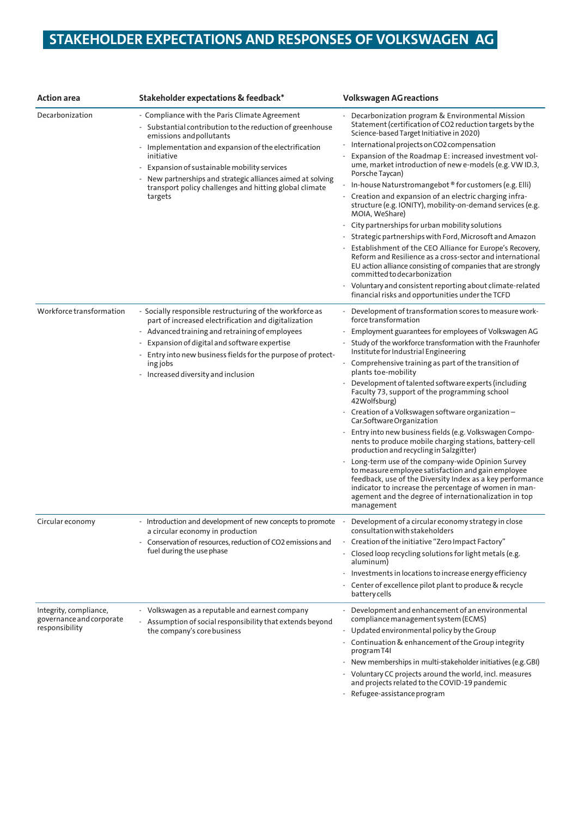## **STAKEHOLDER EXPECTATIONS AND RESPONSES OF VOLKSWAGEN AG**

| <b>Action</b> area                                                   | Stakeholder expectations & feedback*                                                                                                                                                                                                                                                                                                                                                          | <b>Volkswagen AG reactions</b>                                                                                                                                                                                                                                                                                                                                                                                                                                                                                                                                                                                                                                                                                                                                                                                                                                                                                                                                                                                                   |
|----------------------------------------------------------------------|-----------------------------------------------------------------------------------------------------------------------------------------------------------------------------------------------------------------------------------------------------------------------------------------------------------------------------------------------------------------------------------------------|----------------------------------------------------------------------------------------------------------------------------------------------------------------------------------------------------------------------------------------------------------------------------------------------------------------------------------------------------------------------------------------------------------------------------------------------------------------------------------------------------------------------------------------------------------------------------------------------------------------------------------------------------------------------------------------------------------------------------------------------------------------------------------------------------------------------------------------------------------------------------------------------------------------------------------------------------------------------------------------------------------------------------------|
| Decarbonization                                                      | - Compliance with the Paris Climate Agreement<br>- Substantial contribution to the reduction of greenhouse<br>emissions and pollutants<br>- Implementation and expansion of the electrification<br>initiative<br>Expansion of sustainable mobility services<br>New partnerships and strategic alliances aimed at solving<br>transport policy challenges and hitting global climate<br>targets | Decarbonization program & Environmental Mission<br>Statement (certification of CO2 reduction targets by the<br>Science-based Target Initiative in 2020)<br>International projects on CO2 compensation<br>Expansion of the Roadmap E: increased investment vol-<br>ume, market introduction of new e-models (e.g. VW ID.3,<br>Porsche Taycan)<br>In-house Naturstromangebot ® for customers (e.g. Elli)<br>Creation and expansion of an electric charging infra-<br>$\overline{\phantom{a}}$<br>structure (e.g. IONITY), mobility-on-demand services (e.g.<br>MOIA, WeShare)<br>City partnerships for urban mobility solutions<br>Strategic partnerships with Ford, Microsoft and Amazon<br>Establishment of the CEO Alliance for Europe's Recovery,<br>Reform and Resilience as a cross-sector and international<br>EU action alliance consisting of companies that are strongly<br>committed to decarbonization<br>Voluntary and consistent reporting about climate-related<br>financial risks and opportunities under the TCFD |
| Workforce transformation                                             | - Socially responsible restructuring of the workforce as<br>part of increased electrification and digitalization<br>- Advanced training and retraining of employees<br>Expansion of digital and software expertise<br>Entry into new business fields for the purpose of protect-<br>ing jobs<br>- Increased diversity and inclusion                                                           | Development of transformation scores to measure work-<br>force transformation<br>Employment guarantees for employees of Volkswagen AG<br>Study of the workforce transformation with the Fraunhofer<br>Institute for Industrial Engineering<br>- Comprehensive training as part of the transition of<br>plants toe-mobility<br>Development of talented software experts (including<br>Faculty 73, support of the programming school<br>42Wolfsburg)<br>Creation of a Volkswagen software organization –<br>Car.SoftwareOrganization<br>Entry into new business fields (e.g. Volkswagen Compo-<br>nents to produce mobile charging stations, battery-cell<br>production and recycling in Salzgitter)<br>Long-term use of the company-wide Opinion Survey<br>to measure employee satisfaction and gain employee<br>feedback, use of the Diversity Index as a key performance<br>indicator to increase the percentage of women in man-<br>agement and the degree of internationalization in top<br>management                        |
| Circular economy                                                     | - Introduction and development of new concepts to promote<br>a circular economy in production<br>Conservation of resources, reduction of CO2 emissions and<br>fuel during the use phase                                                                                                                                                                                                       | Development of a circular economy strategy in close<br>$\sim$<br>consultation with stakeholders<br>Creation of the initiative "Zero Impact Factory"<br>Closed loop recycling solutions for light metals (e.g.<br>aluminum)<br>Investments in locations to increase energy efficiency<br>٠<br>Center of excellence pilot plant to produce & recycle<br>۰<br>battery cells                                                                                                                                                                                                                                                                                                                                                                                                                                                                                                                                                                                                                                                         |
| Integrity, compliance,<br>governance and corporate<br>responsibility | - Volkswagen as a reputable and earnest company<br>- Assumption of social responsibility that extends beyond<br>the company's core business                                                                                                                                                                                                                                                   | Development and enhancement of an environmental<br>compliance management system (ECMS)<br>Updated environmental policy by the Group<br>- Continuation & enhancement of the Group integrity<br>program T4I<br>New memberships in multi-stakeholder initiatives (e.g. GBI)<br>Voluntary CC projects around the world, incl. measures<br>and projects related to the COVID-19 pandemic<br>Refugee-assistance program                                                                                                                                                                                                                                                                                                                                                                                                                                                                                                                                                                                                                |